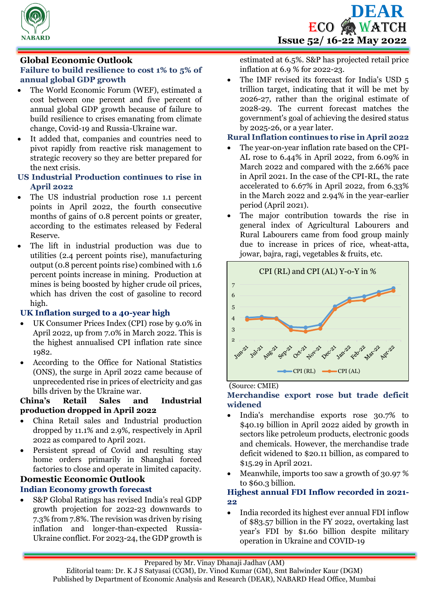

# **Global Economic Outlook**

# **Failure to build resilience to cost 1% to 5% of annual global GDP growth**

- The World Economic Forum (WEF), estimated a cost between one percent and five percent of annual global GDP growth because of failure to build resilience to crises emanating from climate change, Covid-19 and Russia-Ukraine war.
- It added that, companies and countries need to pivot rapidly from reactive risk management to strategic recovery so they are better prepared for the next crisis.

### **US Industrial Production continues to rise in April 2022**

- The US industrial production rose 1.1 percent points in April 2022, the fourth consecutive months of gains of 0.8 percent points or greater, according to the estimates released by Federal Reserve.
- The lift in industrial production was due to utilities (2.4 percent points rise), manufacturing output (0.8 percent points rise) combined with 1.6 percent points increase in mining. Production at mines is being boosted by higher crude oil prices, which has driven the cost of gasoline to record high.

# **UK Inflation surged to a 40-year high**

- UK Consumer Prices Index (CPI) rose by 9.0% in April 2022, up from 7.0% in March 2022. This is the highest annualised CPI inflation rate since 1982.
- According to the Office for National Statistics (ONS), the surge in April 2022 came because of unprecedented rise in prices of electricity and gas bills driven by the Ukraine war.

### **China's Retail Sales and Industrial production dropped in April 2022**

- China Retail sales and Industrial production dropped by 11.1% and 2.9%, respectively in April 2022 as compared to April 2021.
- Persistent spread of Covid and resulting stay home orders primarily in Shanghai forced factories to close and operate in limited capacity.

#### **Domestic Economic Outlook Indian Economy growth forecast**

 S&P Global Ratings has revised India's real GDP growth projection for 2022-23 downwards to 7.3% from 7.8%. The revision was driven by rising inflation and longer-than-expected Russia-Ukraine conflict. For 2023-24, the GDP growth is

estimated at 6.5%. S&P has projected retail price inflation at 6.9 % for 2022-23.

 The IMF revised its forecast for India's USD 5 trillion target, indicating that it will be met by 2026-27, rather than the original estimate of 2028-29. The current forecast matches the government's goal of achieving the desired status by 2025-26, or a year later.

# **Rural Inflation continues to rise in April 2022**

- The year-on-year inflation rate based on the CPI-AL rose to 6.44% in April 2022, from 6.09% in March 2022 and compared with the 2.66% pace in April 2021. In the case of the CPI-RL, the rate accelerated to 6.67% in April 2022, from 6.33% in the March 2022 and 2.94% in the year-earlier period (April 2021).
- The major contribution towards the rise in general index of Agricultural Labourers and Rural Labourers came from food group mainly due to increase in prices of rice, wheat-atta, jowar, bajra, ragi, vegetables & fruits, etc.



# (Source: CMIE)

# **Merchandise export rose but trade deficit widened**

- India's merchandise exports rose 30.7% to \$40.19 billion in April 2022 aided by growth in sectors like petroleum products, electronic goods and chemicals. However, the merchandise trade deficit widened to \$20.11 billion, as compared to \$15.29 in April 2021.
- Meanwhile, imports too saw a growth of 30.97 % to \$60.3 billion.

# **Highest annual FDI Inflow recorded in 2021- 22**

 India recorded its highest ever annual FDI inflow of \$83.57 billion in the FY 2022, overtaking last year's FDI by \$1.60 billion despite military operation in Ukraine and COVID-19

Prepared by Mr. Vinay Dhanaji Jadhav (AM)

Editorial team: Dr. K J S Satyasai (CGM), Dr. Vinod Kumar (GM), Smt Balwinder Kaur (DGM) Published by Department of Economic Analysis and Research (DEAR), NABARD Head Office, Mumbai